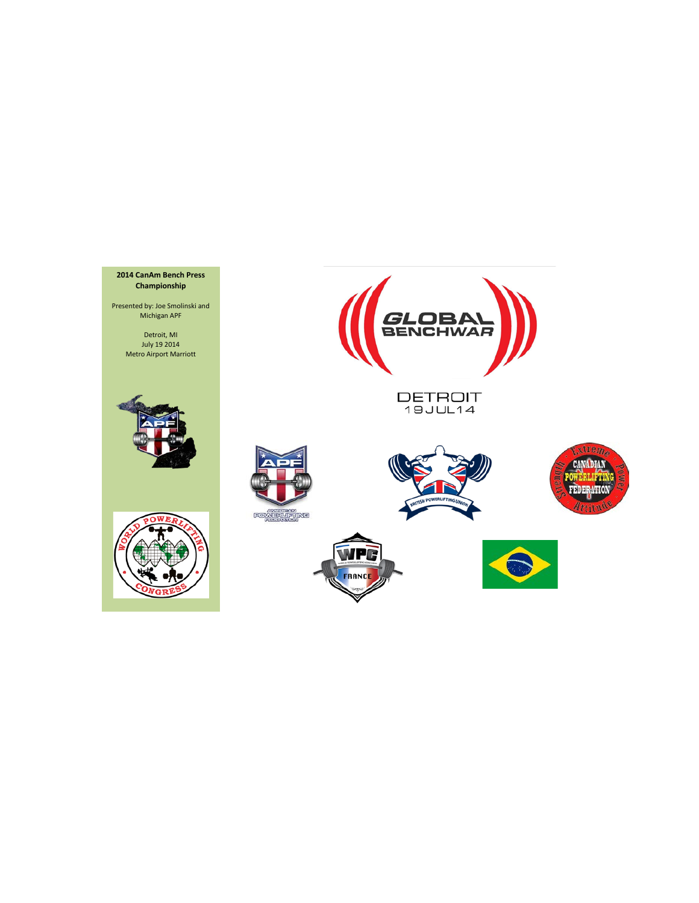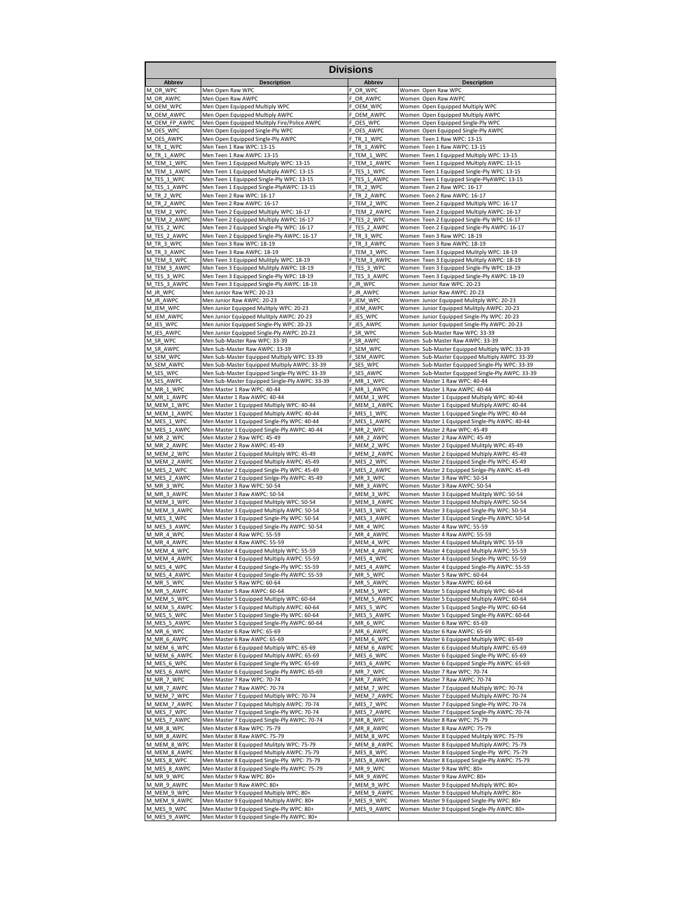| <b>Divisions</b>            |                                                                                             |                                 |                                                                                                   |  |  |  |  |  |  |  |  |  |
|-----------------------------|---------------------------------------------------------------------------------------------|---------------------------------|---------------------------------------------------------------------------------------------------|--|--|--|--|--|--|--|--|--|
| Abbrev                      | <b>Description</b>                                                                          | Abbrev                          | <b>Description</b>                                                                                |  |  |  |  |  |  |  |  |  |
| M_OR_WPC                    | Men Open Raw WPC                                                                            | OR_WPC                          | Women Open Raw WPC                                                                                |  |  |  |  |  |  |  |  |  |
| M OR_AWPC                   | Men Open Raw AWPC                                                                           | OR AWPC                         | Women Open Raw AWPC                                                                               |  |  |  |  |  |  |  |  |  |
| M_OEM_WPC                   | Men Open Equipped Multiply WPC                                                              | OEM WPC                         | Women Open Equipped Multiply WPC                                                                  |  |  |  |  |  |  |  |  |  |
| M_OEM_AWPC<br>M OEM FP AWPC | Men Open Equipped Multiply AWPC<br>Men Open Equipped Mulitply Fire/Police AWPC              | OEM_AWPC<br>F<br>OES WPC        | Women Open Equipped Multiply AWPC<br>Women Open Equipped Single-Ply WPC                           |  |  |  |  |  |  |  |  |  |
| M_OES_WPC                   | Men Open Equipped Single-Ply WPC                                                            | OES_AWPC                        | Women<br>Open Equipped Single-Ply AWPC                                                            |  |  |  |  |  |  |  |  |  |
| M_OES_AWPC                  | Men Open Equipped Single-Ply AWPC                                                           | TR 1 WPC                        | Women Teen 1 Raw WPC: 13-15                                                                       |  |  |  |  |  |  |  |  |  |
| M TR 1 WPC                  | Men Teen 1 Raw WPC: 13-15                                                                   | TR 1 AWPC<br>F                  | Women<br>Teen 1 Raw AWPC: 13-15                                                                   |  |  |  |  |  |  |  |  |  |
| M_TR_1_AWPC                 | Men Teen 1 Raw AWPC: 13-15                                                                  | TEM_1_WPC                       | Women Teen 1 Equipped Multiply WPC: 13-15                                                         |  |  |  |  |  |  |  |  |  |
| M_TEM_1_WPC                 | Men Teen 1 Equipped Multiply WPC: 13-15                                                     | TEM_1_AWPC<br>F                 | Women<br>Teen 1 Equipped Multiply AWPC: 13-15                                                     |  |  |  |  |  |  |  |  |  |
| M_TEM_1_AWPC<br>M_TES_1_WPC | Men Teen 1 Equipped Multiply AWPC: 13-15                                                    | TES_1_WPC<br>F                  | Women Teen 1 Equipped Single-Ply WPC: 13-15                                                       |  |  |  |  |  |  |  |  |  |
| M TES_1_AWPC                | Men Teen 1 Equipped Single-Ply WPC: 13-15<br>Men Teen 1 Equipped Single-PlyAWPC: 13-15      | TES 1 AWPC<br>TR 2 WPC          | Women Teen 1 Equipped Single-PlyAWPC: 13-15<br>Women<br>Teen 2 Raw WPC: 16-17                     |  |  |  |  |  |  |  |  |  |
| M TR 2 WPC                  | Men Teen 2 Raw WPC: 16-17                                                                   | TR 2 AWPC                       | Teen 2 Raw AWPC: 16-17<br>Women                                                                   |  |  |  |  |  |  |  |  |  |
| M_TR_2_AWPC                 | Men Teen 2 Raw AWPC: 16-17                                                                  | _TEM_2_WPC<br>F                 | Women Teen 2 Equipped Multiply WPC: 16-17                                                         |  |  |  |  |  |  |  |  |  |
| M TEM_2_WPC                 | Men Teen 2 Equipped Multiply WPC: 16-17                                                     | TEM_2_AWPC                      | Women<br>Teen 2 Equipped Multiply AWPC: 16-17                                                     |  |  |  |  |  |  |  |  |  |
| M_TEM_2_AWPC                | Men Teen 2 Equipped Multiply AWPC: 16-17                                                    | TES 2 WPC                       | Women<br>Teen 2 Equipped Single-Ply WPC: 16-17                                                    |  |  |  |  |  |  |  |  |  |
| M_TES_2_WPC                 | Men Teen 2 Equipped Single-Ply WPC: 16-17                                                   | TES 2 AWPC<br>F                 | Women Teen 2 Equipped Single-Ply AWPC: 16-17                                                      |  |  |  |  |  |  |  |  |  |
| M_TES_2_AWPC<br>M_TR_3_WPC  | Men Teen 2 Equipped Single-Ply AWPC: 16-17<br>Men Teen 3 Raw WPC: 18-19                     | TR 3 WPC<br>F<br>TR 3 AWPC      | Teen 3 Raw WPC: 18-19<br>Women<br>Women Teen 3 Raw AWPC: 18-19                                    |  |  |  |  |  |  |  |  |  |
| M_TR_3_AWPC                 | Men Teen 3 Raw AWPC: 18-19                                                                  | TEM_3_WPC<br>F.                 | Women Teen 3 Equipped Mulitply WPC: 18-19                                                         |  |  |  |  |  |  |  |  |  |
| M_TEM_3_WPC                 | Men Teen 3 Equipped Mulitply WPC: 18-19                                                     | TEM_3_AWPC                      | Women Teen 3 Equipped Mulitply AWPC: 18-19                                                        |  |  |  |  |  |  |  |  |  |
| M_TEM_3_AWPC                | Men Teen 3 Equipped Mulitply AWPC: 18-19                                                    | _TES_3_WPC                      | Women Teen 3 Equipped Single-Ply WPC: 18-19                                                       |  |  |  |  |  |  |  |  |  |
| M_TES_3_WPC                 | Men Teen 3 Equipped Single-Ply WPC: 18-19                                                   | TES 3 AWPC                      | Women<br>Teen 3 Equipped Single-Ply AWPC: 18-19                                                   |  |  |  |  |  |  |  |  |  |
| M_TES_3_AWPC                | Men Teen 3 Equipped Single-Ply AWPC: 18-19                                                  | E.<br>JR_WPC                    | Women Junior Raw WPC: 20-23                                                                       |  |  |  |  |  |  |  |  |  |
| M_JR_WPC<br>M JR AWPC       | Men Junior Raw WPC: 20-23<br>Men Junior Raw AWPC: 20-23                                     | F<br>JR_AWPC<br>JEM WPC         | Women Junior Raw AWPC: 20-23<br>Women Junior Equipped Mulitply WPC: 20-23                         |  |  |  |  |  |  |  |  |  |
| M_JEM_WPC                   | Men Junior Equipped Mulitply WPC: 20-23                                                     | JEM_AWPC                        | Women<br>Junior Equipped Mulitply AWPC: 20-23                                                     |  |  |  |  |  |  |  |  |  |
| M_JEM_AWPC                  | Men Junior Equipped Mulitply AWPC: 20-23                                                    | JES_WPC<br>F                    | Women Junior Equipped Single-Ply WPC: 20-23                                                       |  |  |  |  |  |  |  |  |  |
| M JES WPC                   | Men Junior Equipped Single-Ply WPC: 20-23                                                   | JES AWPC<br>F                   | Women Junior Equipped Single-Ply AWPC: 20-23                                                      |  |  |  |  |  |  |  |  |  |
| M_JES_AWPC                  | Men Junior Equipped Single-Ply AWPC: 20-23                                                  | F<br>SR_WPC                     | Women Sub-Master Raw WPC: 33-39                                                                   |  |  |  |  |  |  |  |  |  |
| M_SR_WPC                    | Men Sub-Master Raw WPC: 33-39                                                               | SR_AWPC<br>F                    | Women Sub-Master Raw AWPC: 33-39                                                                  |  |  |  |  |  |  |  |  |  |
| M SR AWPC<br>M SEM WPC      | Men Sub-Master Raw AWPC: 33-39                                                              | SEM_WPC<br>F.                   | Women Sub-Master Equipped Multiply WPC: 33-39                                                     |  |  |  |  |  |  |  |  |  |
| M_SEM_AWPC                  | Men Sub-Master Equipped Multiply WPC: 33-39<br>Men Sub-Master Equipped Multiply AWPC: 33-39 | SEM AWPC<br>SES WPC             | Women Sub-Master Equipped Multiply AWPC: 33-39<br>Women Sub-Master Equipped Single-Ply WPC: 33-39 |  |  |  |  |  |  |  |  |  |
| M_SES_WPC                   | Men Sub-Master Equipped Single-Ply WPC: 33-39                                               | E.<br>SES_AWPC                  | Women Sub-Master Equipped Single-Ply AWPC: 33-39                                                  |  |  |  |  |  |  |  |  |  |
| M_SES_AWPC                  | Men Sub-Master Equipped Single-Ply AWPC: 33-39                                              | F<br>MR_1_WPC                   | Women Master 1 Raw WPC: 40-44                                                                     |  |  |  |  |  |  |  |  |  |
| M MR 1 WPC                  | Men Master 1 Raw WPC: 40-44                                                                 | MR 1 AWPC                       | Women Master 1 Raw AWPC: 40-44                                                                    |  |  |  |  |  |  |  |  |  |
| M_MR_1_AWPC                 | Men Master 1 Raw AWPC: 40-44                                                                | MEM_1_WPC                       | Women Master 1 Equipped Multiply WPC: 40-44                                                       |  |  |  |  |  |  |  |  |  |
| M_MEM_1_WPC                 | Men Master 1 Equipped Multiply WPC: 40-44                                                   | MEM_1_AWPC                      | Women Master 1 Equipped Multiply AWPC: 40-44                                                      |  |  |  |  |  |  |  |  |  |
| M_MEM_1_AWPC<br>M_MES_1_WPC | Men Master 1 Equipped Multiply AWPC: 40-44<br>Men Master 1 Equipped Single-Ply WPC: 40-44   | MES_1_WPC<br>MES_1_AWPC         | Women Master 1 Equipped Single-Ply WPC: 40-44<br>Women Master 1 Equipped Single-Ply AWPC: 40-44   |  |  |  |  |  |  |  |  |  |
| M_MES_1_AWPC                | Men Master 1 Equipped Single-Ply AWPC: 40-44                                                | F_MR_2_WPC                      | Women Master 2 Raw WPC: 45-49                                                                     |  |  |  |  |  |  |  |  |  |
| M_MR_2_WPC                  | Men Master 2 Raw WPC: 45-49                                                                 | MR 2 AWPC<br>F.                 | Women Master 2 Raw AWPC: 45-49                                                                    |  |  |  |  |  |  |  |  |  |
| M_MR_2_AWPC                 | Men Master 2 Raw AWPC: 45-49                                                                | MEM_2_WPC                       | Women Master 2 Equipped Mulitply WPC: 45-49                                                       |  |  |  |  |  |  |  |  |  |
| M_MEM_2_WPC                 | Men Master 2 Equipped Mulitply WPC: 45-49                                                   | MEM_2_AWPC                      | Women Master 2 Equipped Multiply AWPC: 45-49                                                      |  |  |  |  |  |  |  |  |  |
| M_MEM_2_AWPC                | Men Master 2 Equipped Multiply AWPC: 45-49                                                  | F_MES_2_WPC                     | Women Master 2 Equipped Single-Ply WPC: 45-49                                                     |  |  |  |  |  |  |  |  |  |
| M_MES_2_WPC<br>M MES 2 AWPC | Men Master 2 Equipped Single-Ply WPC: 45-49                                                 | Ė<br>MES_2_AWPC                 | Women Master 2 Equipped Sinlge-Ply AWPC: 45-49<br>Women Master 3 Raw WPC: 50-54                   |  |  |  |  |  |  |  |  |  |
| M_MR_3_WPC                  | Men Master 2 Equipped Sinlge-Ply AWPC: 45-49<br>Men Master 3 Raw WPC: 50-54                 | MR 3 WPC<br>MR 3 AWPC           | Women Master 3 Raw AWPC: 50-54                                                                    |  |  |  |  |  |  |  |  |  |
| M_MR_3_AWPC                 | Men Master 3 Raw AWPC: 50-54                                                                | MEM_3_WPC                       | Women Master 3 Equipped Mulitply WPC: 50-54                                                       |  |  |  |  |  |  |  |  |  |
| M_MEM_3_WPC                 | Men Master 3 Equipped Mulitply WPC: 50-54                                                   | MEM_3_AWPC                      | Women Master 3 Equipped Multiply AWPC: 50-54                                                      |  |  |  |  |  |  |  |  |  |
| M MEM 3 AWPC                | Men Master 3 Equipped Multiply AWPC: 50-54                                                  | MES_3_WPC                       | Women Master 3 Equipped Single-Ply WPC: 50-54                                                     |  |  |  |  |  |  |  |  |  |
| M_MES_3_WPC                 | Men Master 3 Equipped Single-Ply WPC: 50-54                                                 | F_MES_3_AWPC                    | Women Master 3 Equipped Single-Ply AWPC: 50-54                                                    |  |  |  |  |  |  |  |  |  |
| M_MES_3_AWPC<br>M MR_4_WPC  | Men Master 3 Equipped Single-Ply AWPC: 50-54<br>Men Master 4 Raw WPC: 55-59                 | MR 4 WPC<br>F.                  | Women Master 4 Raw WPC: 55-59<br>Women Master 4 Raw AWPC: 55-59                                   |  |  |  |  |  |  |  |  |  |
| M_MR_4_AWPC                 | Men Master 4 Raw AWPC: 55-59                                                                | MR 4 AWPC<br>MEM_4_WPC          | Women Master 4 Equipped Mulitply WPC: 55-59                                                       |  |  |  |  |  |  |  |  |  |
| M MEM 4 WPC                 | Men Master 4 Equipped Mulitply WPC: 55-59                                                   | F_MEM_4_AWPC                    | Women Master 4 Equipped Multiply AWPC: 55-59                                                      |  |  |  |  |  |  |  |  |  |
| M_MEM_4_AWPC                | Men Master 4 Equipped Multiply AWPC: 55-59                                                  | _MES_4_WPC                      | Women Master 4 Equipped Single-Ply WPC: 55-59                                                     |  |  |  |  |  |  |  |  |  |
| M_MES_4_WPC                 | Men Master 4 Equipped Single-Ply WPC: 55-59                                                 | MES 4 AWPC<br>F                 | Women Master 4 Equipped Single-Ply AWPC: 55-59                                                    |  |  |  |  |  |  |  |  |  |
| M_MES<br>AWP <sub>0</sub>   |                                                                                             | MR_5_WPC                        | Mactor 5 Raw WPC: 6                                                                               |  |  |  |  |  |  |  |  |  |
| M_MR_5_WPC                  | Men Master 5 Raw WPC: 60-64<br>Men Master 5 Raw AWPC: 60-64                                 | F_MR_5_AWPC<br>MEM 5 WPC        | Women Master 5 Raw AWPC: 60-64                                                                    |  |  |  |  |  |  |  |  |  |
| M_MR_5_AWPC<br>M_MEM_5_WPC  | Men Master 5 Equipped Multiply WPC: 60-64                                                   | MEM 5 AWPC<br>F                 | Women Master 5 Equipped Multiply WPC: 60-64<br>Women Master 5 Equipped Multiply AWPC: 60-64       |  |  |  |  |  |  |  |  |  |
| M MEM 5 AWPC                | Men Master 5 Equipped Multiply AWPC: 60-64                                                  | F_MES_5_WPC                     | Women Master 5 Equipped Single-Ply WPC: 60-64                                                     |  |  |  |  |  |  |  |  |  |
| M_MES_5_WPC                 | Men Master 5 Equipped Single-Ply WPC: 60-64                                                 | F MES 5 AWPC                    | Women Master 5 Equipped Single-Ply AWPC: 60-64                                                    |  |  |  |  |  |  |  |  |  |
| M MES 5 AWPC                | Men Master 5 Equipped Single-Ply AWPC: 60-64                                                | MR_6_WPC<br>F                   | Women Master 6 Raw WPC: 65-69                                                                     |  |  |  |  |  |  |  |  |  |
| M_MR_6_WPC                  | Men Master 6 Raw WPC: 65-69                                                                 | MR 6 AWPC                       | Women Master 6 Raw AWPC: 65-69                                                                    |  |  |  |  |  |  |  |  |  |
| M_MR_6_AWPC<br>M MEM 6 WPC  | Men Master 6 Raw AWPC: 65-69                                                                | MEM 6 WPC<br>F                  | Women Master 6 Equipped Multiply WPC: 65-69                                                       |  |  |  |  |  |  |  |  |  |
| M MEM 6 AWPC                | Men Master 6 Equipped Multiply WPC: 65-69<br>Men Master 6 Equipped Multiply AWPC: 65-69     | F_MEM_6_AWPC<br>MES 6 WPC<br>F. | Women Master 6 Equipped Multiply AWPC: 65-69<br>Women Master 6 Equipped Single-Ply WPC: 65-69     |  |  |  |  |  |  |  |  |  |
| M_MES_6_WPC                 | Men Master 6 Equipped Single-Ply WPC: 65-69                                                 | MES 6 AWPC                      | Women Master 6 Equipped Single-Ply AWPC: 65-69                                                    |  |  |  |  |  |  |  |  |  |
| M_MES_6_AWPC                | Men Master 6 Equipped Single-Ply AWPC: 65-69                                                | MR_7_WPC<br>F.                  | Women Master 7 Raw WPC: 70-74                                                                     |  |  |  |  |  |  |  |  |  |
| M_MR_7_WPC                  | Men Master 7 Raw WPC: 70-74                                                                 | MR 7 AWPC                       | Women Master 7 Raw AWPC: 70-74                                                                    |  |  |  |  |  |  |  |  |  |
| M MR 7 AWPC                 | Men Master 7 Raw AWPC: 70-74                                                                | MEM_7_WPC                       | Women Master 7 Equipped Multiply WPC: 70-74                                                       |  |  |  |  |  |  |  |  |  |
| M_MEM_7_WPC                 | Men Master 7 Equipped Multiply WPC: 70-74                                                   | F_MEM_7_AWPC                    | Women Master 7 Equipped Multiply AWPC: 70-74                                                      |  |  |  |  |  |  |  |  |  |
| M_MEM_7_AWPC<br>M_MES_7_WPC | Men Master 7 Equipped Multiply AWPC: 70-74<br>Men Master 7 Equipped Single-Ply WPC: 70-74   | MES 7 WPC<br>MES_7_AWPC         | Women Master 7 Equipped Single-Ply WPC: 70-74<br>Women Master 7 Equipped Single-Ply AWPC: 70-74   |  |  |  |  |  |  |  |  |  |
| M_MES_7_AWPC                | Men Master 7 Equipped Single-Ply AWPC: 70-74                                                | F_MR_8_WPC                      | Women Master 8 Raw WPC: 75-79                                                                     |  |  |  |  |  |  |  |  |  |
| M_MR_8_WPC                  | Men Master 8 Raw WPC: 75-79                                                                 | F_MR_8_AWPC                     | Women Master 8 Raw AWPC: 75-79                                                                    |  |  |  |  |  |  |  |  |  |
| M_MR_8_AWPC                 | Men Master 8 Raw AWPC: 75-79                                                                | F_MEM_8_WPC                     | Women Master 8 Equipped Mulitply WPC: 75-79                                                       |  |  |  |  |  |  |  |  |  |
| M_MEM_8_WPC                 | Men Master 8 Equipped Mulitply WPC: 75-79                                                   | MEM_8_AWPC<br>F.                | Women Master 8 Equipped Multiply AWPC: 75-79                                                      |  |  |  |  |  |  |  |  |  |
| M_MEM_8_AWPC                | Men Master 8 Equipped Multiply AWPC: 75-79                                                  | MES_8_WPC<br>F                  | Women Master 8 Equipped Single-Ply WPC: 75-79                                                     |  |  |  |  |  |  |  |  |  |
| M_MES_8_WPC                 | Men Master 8 Equipped Single-Ply WPC: 75-79                                                 | MES_8_AWPC<br>F.                | Women Master 8 Equipped Single-Ply AWPC: 75-79                                                    |  |  |  |  |  |  |  |  |  |
| M MES 8 AWPC<br>M_MR_9_WPC  | Men Master 8 Equipped Single-Ply AWPC: 75-79<br>Men Master 9 Raw WPC: 80+                   | MR 9 WPC<br>MR 9 AWPC           | Women Master 9 Raw WPC: 80+<br>Women Master 9 Raw AWPC: 80+                                       |  |  |  |  |  |  |  |  |  |
| M_MR_9_AWPC                 | Men Master 9 Raw AWPC: 80+                                                                  | _MEM_9_WPC<br>F                 | Women Master 9 Equipped Multiply WPC: 80+                                                         |  |  |  |  |  |  |  |  |  |
| M_MEM_9_WPC                 | Men Master 9 Equipped Multiply WPC: 80+                                                     | MEM_9_AWPC                      | Women Master 9 Equipped Multiply AWPC: 80+                                                        |  |  |  |  |  |  |  |  |  |
| M_MEM_9_AWPC                | Men Master 9 Equipped Multiply AWPC: 80+                                                    | MES_9_WPC<br>F                  | Women Master 9 Equipped Single-Ply WPC: 80+                                                       |  |  |  |  |  |  |  |  |  |
| M_MES_9_WPC                 | Men Master 9 Equipped Single-Ply WPC: 80+                                                   | F_MES_9_AWPC                    | Women Master 9 Equipped Single-Ply AWPC: 80+                                                      |  |  |  |  |  |  |  |  |  |
| M_MES_9_AWPC                | Men Master 9 Equipped Single-Ply AWPC: 80+                                                  |                                 |                                                                                                   |  |  |  |  |  |  |  |  |  |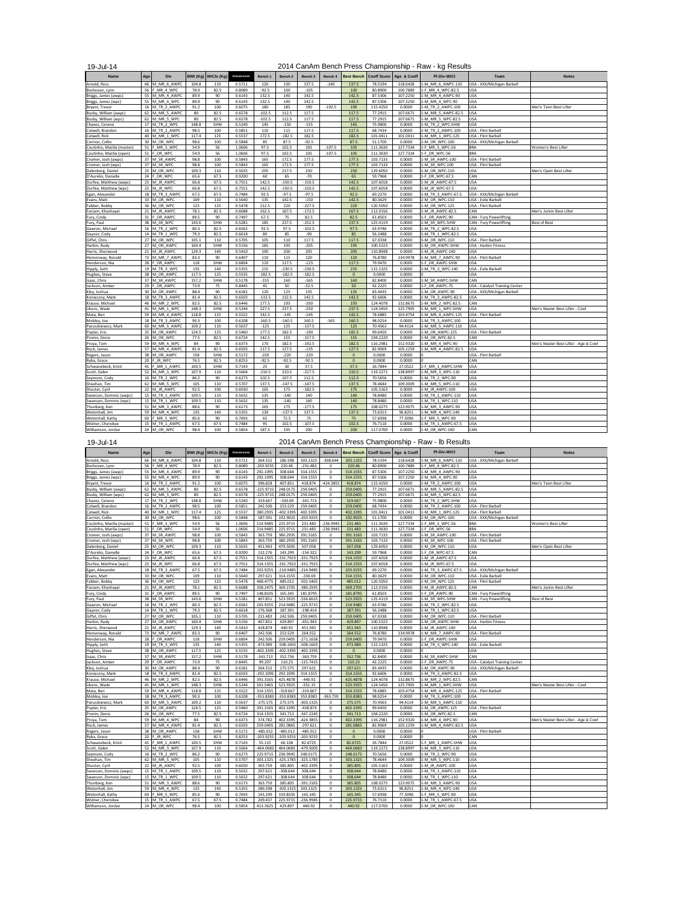19-Jul-14

## 2014 CanAm Bench Press Championship - Raw - kg Results

| <b>Name</b>                               | Age | <b>Div</b>                 | BWt (Kg)      | WtCls (Kg) | Glossbrenner     | <b>Bench 1</b>  | Rench <sub>2</sub> | Rench 3              | Rench 4  | <b>Best Bench</b> | <b>Coeff Score</b>   | Age & Coeff        | <b>PI-Div-WtCl</b>                   | Team                                     | <b>Notes</b>                          |
|-------------------------------------------|-----|----------------------------|---------------|------------|------------------|-----------------|--------------------|----------------------|----------|-------------------|----------------------|--------------------|--------------------------------------|------------------------------------------|---------------------------------------|
| Arnold, Ross                              | 66  | M MR 6 AWPC                | 104.8         | 110        | 0.5711           | 120             | 130                | 137.5                | $-140$   | 137.5             | 78.5194              | 118.6428           | 1-M MR 6 AWPC-110                    | USA - XXX/Michigan Barbell               |                                       |
| Boshoven, Lynn                            | 56  | F MR 4 WPC                 | 78.9          | 82.5       | 0.8089           | $-92.5$         | 100                | $-105$               |          | 100               | 80.8900              | 100,7889           | 1-F MR 4 WPC-82.5                    | <b>USA</b>                               |                                       |
| Briggs, James (awpc)                      | 55  | M MR 4 AWPO                | 89.9          | 90         | 0.6143           | 132.5           | 140                | 142.5                |          | 142.5             | 87.5306              | 107.2250           | 1-M MR 4 AWPC-90                     | <b>USA</b>                               |                                       |
| Briggs, James (wpc)                       | 55  | M MR 4 WPC                 | 89.9          | 90         | 0.6143           | 132.5           | 140                | 142.5                |          | 142.5             | 87.5306              | 107.2250           | 2-M MR 4 WPC-90                      | USA                                      |                                       |
| Bryant, Trevor                            | 16  | M TR 2 AWPC                | 91.2          | 100        | 0.6075           | 180             | 185                | 190                  | $-192.5$ | 190               | 115.4250             | 0.0000             | 1-M TR 2 AWPC-100                    | <b>USA</b>                               | Men's Teen Best Lifter                |
| Busby, William (awpc)                     | 62  | M MR 5 AWPC                | 80            | 82.5       | 0.6578           | $-102.5$        | 112.5              | 117.5                |          | 117.5             | 77.2915              | 107.6671           | 1-M MR 5 AWPC-82.5                   | <b>USA</b>                               |                                       |
| Busby, William (wpc)                      | 62  | M MR 5 WPC                 | 80            | 82.5       | 0.6578           | $-102.5$        | 112.5              | 117.5                |          | 117.5             | 77.2915              | 107.6671           | 1-M MR 5 WPC-82.5                    | <b>USA</b>                               |                                       |
| Chavez, Cereno                            | 17  | M TR 2 WPC                 | 148.8         | SHW        | 0.5240           | 145             | $-150$             | $-155$               |          | 145               | 75.9800              | 0.0000             | 1-M TR 2 WPC-SHW                     | USA                                      |                                       |
| Colwell, Brandon                          | 16  | M TR 2 AWPC                | 98.5          | 100        | 0.5851           | 110             | 115                | 117.5                |          | 117.5             | 68.7434              | 0.0000             | 2-M TR 2 AWPC-100                    | USA - Flint Barbell                      |                                       |
| Colwell, Rick                             |     | 40 M MR 1 WPC              | 117.4         | 125        | 0.5537           | 172.5           | $-182.5$           | 182.5                |          | 182.5             | 101.0411             | 101.0411           | 1-M MR 1 WPC-125                     | USA - Flint Barbel                       |                                       |
| Corrion, Collin                           |     | 30 M OR WPC                | 98.6          | 100        | 0.5848           | 85              | 87.5               | $-92.5$              |          | 87.5              | 51.1700              | 0.0000             | 2-M OR WPC-100                       | USA - XXX/Michigan Barbell               |                                       |
| Coutinho, Marilia (master)                | 51  | F MR 3 WPC                 | 54.9          | 56         | 1.0606           | 97.5            | 102.5              | 105                  | $-107.5$ | 105               | 111.3630             | 127.7334           | 1-F MR 3 WPC-56                      | <b>BRA</b>                               | Women's Best Lifter                   |
| Coutinho, Marilia (open)                  | 51  | F OR WPC                   | 54.9          | 56         | 1.0606           | 97.5            | 102.5              | 105                  | $-107.5$ | 105               | 111.3630             | 127.7334           | 1-F OR WPC-56                        | <b>BRA</b>                               |                                       |
| Cromer, Josh (awpc)                       | 37  | M SR AWPC                  | 98.8          | 100        | 0.5843           | 165             | 172.5              | 177.5                |          | 177.5             | 103.7133             | 0.0000             | 1-M SR AWPC-100                      | USA - Flint Barbell                      |                                       |
| Cromer, Josh (wpc)                        |     | 37 M SR WPC<br>25 M OR WPC | 98.8<br>109.3 | 100<br>110 | 0.5843<br>0.5635 | 165<br>205      | 172.5<br>217.5     | 177.5<br>230         |          | 177.5<br>230      | 103.7133<br>129.6050 | 0.0000<br>0.0000   | 1-M SR WPC-100<br>1-M OR WPC-110     | USA - Flint Barbell<br><b>USA</b>        | Men's Open Best Lifter                |
| Dalenberg, Daniel<br>D'Aurelio, Danielle  |     | 24 F OR WPC                | 65.6          | 67.5       | 0.9200           | 60              | 65                 | $-70$                |          | 65                | 59.7968              | 0.0000             | 1-F OR WPC-67.5                      | CAN                                      |                                       |
| Durfee, Matthew (awpc)                    |     | 23 M JR AWPC               | 66.8          | 67.5       | 0.7551           | 142.5           | $-150.5$           | $-150.5$             |          | 142.5             | 107.6018             | 0.0000             | 1-M JR AWPC-67.5                     | <b>USA</b>                               |                                       |
| Durfee, Matthew (wpc)                     | 23  | M JR WPC                   | 66.8          | 67.5       | 0.7551           | 142.5           | $-150.5$           | $-150.5$             |          | 142.5             | 107.6018             | 0.0000             | 1-M JR WPC-67.5                      | USA                                      |                                       |
| Egan, Alexander                           |     | 18 M TR 3 AWPC             | 67.5          | 67.5       | 0.7484           | 92.5            | $-97.5$            | $-97.5$              |          | 92.5              | 69.2270              | 0.0000             | 1-M TR 3 AWPC-67.5                   | USA - XXX/Michigan Barbell               |                                       |
| Evans, Matt                               |     | 33 M OR WPC                | 109           | 110        | 0.5640           | 135             | 142.5              | $-150$               |          | 142.5             | 80.3629              | 0.0000             | 2-M OR WPC-110                       | USA - Exile Barbel                       |                                       |
| Fabber, Bobby                             |     | 36 M OR WPC                | 123           | 125        | 0.5478           | 212.5           | 220                | $-227.5$             |          | 220               | 120,5050             | 0.0000             | 1-M OR WPC-125                       | USA - Flint Barbell                      |                                       |
| Farzam, Khashayar                         |     | 21 M JR AWPC               | 78.1          | 82.5       | 0.6688           | 162.5           | 167.5              | $-172.5$             |          | 167.5             | 112.0156             | 0.0000             | 1-M JR AWPC-82.5                     | CAN                                      | Men's Junior Best Lifter              |
| Fury, Cindy                               | 31  | F OR AWPC                  | 89.5          | 90         | 0.7497           | 67.5            | 75                 | 82.5                 |          | 82.5              | 61.8503              | 0.0000             | 1-F OR AWPC-90                       | CAN - Fury Powerlifting                  |                                       |
| Fury, Paul                                |     | 38 M SR WPC                | 143.6         | SHW        | 0.5281           | 185             | 237.5              | $-252.5$             |          | 237.5             | 125,4119             | 0.0000             | 1-M SR WPC-SHW                       | CAN - Fury Powerlifting                  | <b>Best of Best</b>                   |
| Gawron, Michael                           |     | 16 M TR 2 WPC              | 80.3          | 82.5       | 0.6562           | 92.5            | 97.5               | $-102.5$             |          | 97.5              | 63.9746              | 0.0000             | 1-M TR 2 WPC-82.5                    | <b>USA</b>                               |                                       |
| Gaynor, Cody                              |     | 14 M TR 1 WPC              | 79.3          | 82.5       | 0.6618           | 80              | 85                 | $-90-$               |          | 85                | 56.2488              | 0.0000             | 1-M TR 1 WPC-82.5                    | USA                                      |                                       |
| Giffel, Chris                             |     | 27 M OR WPC                | 105.1         | 110        | 0.5705           | 105             | 110                | 117.5                |          | 117.5             | 67.0338              | 0.0000             | 3-M OR WPC-110                       | USA - Flint Barbell                      |                                       |
| Harbin, Rudy                              | 27  | M OR AWPO                  | 160.4         | SHW        | 0.5156           | 185             | 195                | $-205$               |          | 195               | 100.5323             | 0.0000             | 1-M OR AWPC-SHW                      | <b>USA - Harbin Fitness</b>              |                                       |
| Harris, Sherwood                          | 21  | M JR AWPC                  | 129.3         | 140        | 0.5410           | 190             | 200                | 205                  |          | 205               | 110.8948             | 0.0000             | 1-M JR AWPC-140                      | <b>USA</b>                               |                                       |
| Hemenway, Ronald                          |     | 73 M MR 7 AWPC             | 83.3          | 90         | 0.6407           | 110             | 115                | 120                  |          | 120               | 76.8780              | 134.9978           | 1-M MR 7 AWPC-90                     | USA - Flint Barbell                      |                                       |
| Henderson, Nia                            |     | 28 F OR AWPC               | 118           | SHW        | 0.6804           | 110             | 117.5              | $-123$               |          | 117.5             | 79.9470              | 0.0000             | 1-F OR AWPC-SHW                      | <b>USA</b>                               |                                       |
| Hipply, Seth                              |     | 19 M TR 3 WPC              | 135           | 140        | 0.5355           | 215             | $-230.5$           | $-230.5$             |          | 215               | 115.1325             | 0.0000             | 1-M TR 3 WPC-140                     | USA - Exile Barbell                      |                                       |
| Hughes, Steve                             |     | 38 M_OR_AWPC               | 117.5         | 125        | 0.5535           | $-182.5$        | $-182.5$           | $-182.5$             |          | $\mathbf 0$       | 0.0000               | 0.0000             |                                      | <b>USA</b>                               |                                       |
| Isaac, Chris                              | 37  | M SR AWPC                  | 157.2         | SHW        | 0.5178           | $-155$          | 160                | $-165$               |          | 160               | 82.8400              | 0.0000             | 1-M_SR_AWPC-SHW                      | CAN                                      |                                       |
| Jackson, Amber                            | 30  | 29 F OR AWPC<br>M OR AWPC  | 73.9<br>88.4  | 75<br>90   | 0.8445           | 45              | 50                 | $-52.5$              |          | 50                | 42.2225              | 0.0000<br>0.0000   | 1-F OR AWPC-75                       | <b>USA - Catalyst Training Center</b>    |                                       |
| Kley, Joshua<br>Konieczny, Mark           | 18  | M TR 3 AWPC                | 81.4          | 82.5       | 0.6181<br>0.6503 | 120<br>$-132.5$ | 125<br>132.5       | 135<br>142.5         |          | 135<br>142.5      | 83.4435<br>92.6606   | 0.0000             | 1-M OR AWPC-90<br>1-M TR 3 AWPC-82.5 | USA - XXX/Michigan Barbell<br><b>USA</b> |                                       |
| Krause, Michael                           | 46  | M MR 2 WPC                 | 82.5          | 82.5       | 0.6446           | 177.5           | 193                | $-200$               |          | 193               | 124,4078             | 132.8675           | 1-M MR_2_WPC-82.5                    | CAN                                      |                                       |
| Likens, Wade                              | 41  | M MR 1 WPC                 | 148.3         | SHW        | 0.5244           | 227.5           | 237.5              | $-250$               |          | 237.5             | 124.5450             | 125.7905           | 1-M MR 1 WPC-SHW                     | <b>USA</b>                               | Men's Master Best Lifter - Coef       |
| Mata, Ben                                 | 59  | M MR 4 AWPC                | 118.8         | 125        | 0.5522           | 142.5           | $-145$             | $-145$               |          | 142.5             | 78.6885              | 103.4754           | 1-M MR 4 AWPC-125                    | USA - Flint Barbell                      |                                       |
| Mobley, Joe                               | 18  | M TR 3 AWPC                | 90.3          | 100        | 0.6108           | $-160.5$        | $-160.5$           | 160.5                | $-165$   | 160.5             | 98.0254              | 0.0000             | 1-M TR 3 AWPC-100                    | <b>USA</b>                               |                                       |
| Paruszkiewicz, Mark                       |     | 60 M MR 5 AWPC             | 109.2         | 110        | 0.5637           | $-125$          | 125                | $-137.5$             |          | 125               | 70.4563              | 94.4114            | 1-M MR 5 AWPC-110                    | <b>USA</b>                               |                                       |
| Poplar, Eric                              | 35  | M OR AWPC                  | 124.5         | 125        | 0.5460           | 177.5           | 182.5              | $-190$               |          | 182.5             | 99.6450              | 0.0000             | 1-M OR AWPC-125                      | USA - Flint Barbell                      |                                       |
| Pronin, Denis                             |     | 26 M OR WPC                | 77.5          | 82.5       | 0.6724           | 142.5           | 155                | $-157.5$             |          | 155               | 104.2220             | 0.0000             | 1-M OR WPC-82.5                      | CAN                                      |                                       |
| Proya, Tom                                | 59  | M MR 4 WPC                 | 84            | 90         | 0.6373           | 170             | 182.5              | $-192.5$             |          | 182.5             | 116.2981             | 152.9320           | 1-M MR 4 WPC-90                      | USA                                      | Men's Master Best Lifter - Age & Coef |
| Rock, James                               | 57  | M MR 4 AWPC                | 81.4          | 82.5       | 0.6503           | 117.5           | 127.5              | $-135$               |          | 127.5             | 82.9069              | 105.1259           | 1-M MR 4 AWPC-82.5                   | <b>USA</b>                               |                                       |
| Rogers, Jason                             | 38  | M OR AWPC                  | 158           | SHW        | 0.5172           | $-220$          | $-220$             | $-220$               |          | $\mathbf 0$       | 0.0000               | 0.0000             |                                      | USA - Flint Barbell                      |                                       |
| Ryba, Grace                               | 20  | IR WPC                     | 76.5          | 82.5       | 0.8253           | $-92.5$         | $-92.5$            | $-92.5$              |          | $\mathbf 0$       | 0.0000               | 0.0000             |                                      | CAN                                      |                                       |
| Schwanebeck, Kristi                       |     | 41 F MR 1 AWPC             | 100.5         | SHW        | 0.7143           | 25              | 30                 | 37.5                 |          | 37.5              | 26,7844              | 27.0522            | 1-F MR 1 AWPC-SHW                    | <b>USA</b>                               |                                       |
| Scott, Galer                              | 52  | M MR 3 WPC                 | 107.9         | 110        | 0.5664           | $-210.5$        | 210.5              | $-217.5$             |          | 210.5             | 119.2272             | 138.8997           | 1-M MR 3 WPC-110                     | USA                                      |                                       |
| Seymore, Cody                             | 16  | M TR 2 WPC                 | 86.2          | 90         | 0.6273           | 102.5           | 107.5              | 112.5                |          | 112.5             | 70.5656              | 0.0000             | 1-M TR 2 WPC-90                      | <b>USA</b>                               |                                       |
| Sheehan, Tim                              | 62  | M MR 5 WPC<br>22 M JR AWPC | 105<br>92.5   | 110<br>100 | 0.5707<br>0.6030 | 137.5<br>165    | $-147.5$<br>175    | $-147.5$<br>$-182.5$ |          | 137.5<br>175      | 78,4644<br>105.5163  | 109.3009<br>0.0000 | 1-M MR 5 WPC-110<br>1-M JR AWPC-100  | USA<br>USA                               |                                       |
| Shuster, Cyril<br>Swanson, Dominic (awpc) |     | 15 M TR 1 AWPC             | 109.5         | 110        | 0.5632           | 135             | $-140$             | 140                  |          | 140               | 78.8480              | 0.0000             | 1-M TR 1 AWPC-110                    | USA                                      |                                       |
| Swanson, Dominic (wpc)                    |     | 15 M TR 1 WPC              | 109.5         | 110        | 0.5632           | 135             | $-140$             | 140                  |          | 140               | 78.8480              | 0.0000             | 1-M TR 1 WPC-110                     | USA                                      |                                       |
| Thunberg, Ken                             | 51  | M MR 3 AWPC                | 88.6          | 90         | 0.6173           | 165             | 175                | $-177.5$             |          | 175               | 108.0275             | 123.9075           | 1-M MR 3 AWPC-90                     | <b>USA</b>                               |                                       |
| Wetenhall, Jim                            | 59  | M MR 4 WPC                 | 135           | 140        | 0.5355           | 130             | $-137.5$           | 137.5                |          | 137.5             | 73.6313              | 96.8251            | 1-M_MR_4_WPC-140                     | <b>USA</b>                               |                                       |
| Wetenhall, Kathy                          | 60  | F MR 5 WPC                 | 85.6          | 90         | 0.7693           | 65              | 72.5               | 75                   |          | 75                | 57.6938              | 77.3096            | 1-F MR 5 WPC-90                      | USA                                      |                                       |
| Widner, Cherokee                          |     | 15 M TR 1 AWPC             | 67.5          | 67.5       | 0.7484           | 95              | 102.5              | $-107.5$             |          | 102.5             | 76.7110              | 0.0000             | 1-M TR 1 AWPC-67.5                   | <b>USA</b>                               |                                       |
| Williamson, Jordan                        |     | 24 M OR WPC                | 98.4          | 100        | 0.5854           | 187.5           | 195                | 200                  |          | 200               | 117.0700             | 0.0000             | 1-M OR WPC-100                       | CAN                                      |                                       |
|                                           |     |                            |               |            |                  |                 |                    |                      |          |                   |                      |                    |                                      |                                          |                                       |

19-Jul-14

## 2014 CanAm Bench Press Championship - Raw - lb Results

| Name                                                   | Age      | Div                        | BWt (Kg)      | WtCls (Kg) | Glossbrenner     | Bench 1                | Bench 2              | Bench 3                 | Bench 4                    | <b>Best Bench</b>   | <b>Coeff Score</b>  | Age & Coeff          | PI-Div-WtCl                            | Team                           | <b>Notes</b>                          |
|--------------------------------------------------------|----------|----------------------------|---------------|------------|------------------|------------------------|----------------------|-------------------------|----------------------------|---------------------|---------------------|----------------------|----------------------------------------|--------------------------------|---------------------------------------|
| Arnold, Ross                                           | 66       | M MR 6 AWPC                | 104.8         | 110        | 0.5711           | 264.552                | 286.598              | 303.1325                | $-308.644$                 | 303.1325            | 78.5194             | 118,6428             | I-M MR 6 AWPC-110                      | USA - XXX/Michigan Barbel      |                                       |
| Boshoven, Lynn                                         | 56       | F MR 4 WPC                 | 78.9          | 82.5       | 0.8089           | 203.9255               | 220.46               | $-231.483$              | $^{\circ}$                 | 220.46              | 80,8900             | 100,7889             | 1-F MR 4 WPC-82.5                      | USA                            |                                       |
| Briggs, James (awpc)                                   | 55       | M MR 4 AWPC                | 89.9          | 90         | 0.6143           | 292.1095               | 308.644              | 314.1555                | $\bf{0}$                   | 314.1555            | 87.5306             | 107.2250             | 1-M MR 4 AWPC-90                       | USA                            |                                       |
| Briggs, James (wpc)                                    | 55       | M MR 4 WPC                 | 89.9          | 90         | 0.6143           | 292.1095               | 308.644              | 314.1555                | $^{\circ}$                 | 314.1555            | 87.5306             | 107.2250             | 2-M MR 4 WPC-90                        | USA                            |                                       |
| Brvant, Trevor                                         | 16       | M TR 2 AWPC                | 91.2          | 100        | 0.6075           | 396.828                | 407.851              | 418.874                 | $-424.385$                 | 418.874             | 115.4250            | 0.0000               | 1-M TR 2 AWPC-100                      | USA                            | Men's Teen Best Lifter                |
| Busby, William (awpc)                                  | 62       | M MR 5 AWPC                | 80            | 82.5       | 0.6578           | 225.9715               | 248.0175             | 259.0405                | $\mathbf 0$                | 259.0405            | 77.2915             | 107.6671             | 1-M MR 5 AWPC-82.5                     | USA                            |                                       |
| Busby, William (wpc)                                   |          | 62 M MR 5 WPC              | 80            | 82.5       | 0.6578           | 225.9715               | 248.0175             | 259.0405                | $\mathbf{0}$               | 259.0405            | 77.2915             | 107.6671             | 1-M MR 5 WPC-82.5                      | USA                            |                                       |
| Chavez, Cereno                                         |          | 17 M TR 2 WPC              | 148.8         | SHW        | 0.5240           | 319.667                | $-330.69$            | $-341.713$              | $\circ$                    | 319.667             | 75,9800             | 0.0000               | 1-M TR 2 WPC-SHW                       | USA                            |                                       |
| Colwell, Brandon                                       |          | 16 M TR 2 AWPC             | 98.5          | 100        | 0.5851           | 242,506                | 253.529              | 259.0405                | $^{\circ}$                 | 259.0405            | 68.7434             | 0.0000               | 2-M TR 2 AWPC-100                      | USA - Flint Barbel             |                                       |
| Colwell, Rick                                          |          | 40 M MR 1 WPC              | 117.4         | 125        | 0.5537           | 380.2935               | $-402.3395$          | 402.3395                | $\bf{0}$                   | 402.3395            | 101.0411            | 101.0411             | I-M MR 1 WPC-125                       | USA - Flint Barbel             |                                       |
| Corrion, Collin                                        | 30       | M OR WPC                   | 98.6          | 100<br>56  | 0.5848           | 187.391<br>214.9485    | 192.9025             | $-203.9255$<br>231.483  | $^{\circ}$<br>$-236.9949$  | 192.9025            | 51.1700<br>111.3630 | 0.0000               | 2-M_OR_WPC-100                         | USA - XXX/Michigan Barbell     |                                       |
| Coutinho, Marilia (master)<br>Coutinho, Marilia (open) | 51<br>51 | MR 3 WPC<br>F OR WPC       | 54.9<br>54.9  | 56         | 1.0606<br>1.0606 | 214.9485               | 225.9715<br>225.9715 | 231.483                 | $-236.994!$                | 231.483<br>231.483  | 111.3630            | 127,7334<br>127.7334 | 1-F MR 3 WPC-56<br>1-F OR WPC-56       | <b>BRA</b><br><b>BRA</b>       | Women's Best Lifter                   |
| cromer, Josh (awpc                                     |          | 37 M SR AWPO               | 98.8          | 100        | 0.5843           | 363,759                | 380.2935             | 391.3165                | $^{\circ}$                 | 391.3165            | 103.7133            | 0.0000               | I-M SR AWPC-100                        | USA - Flint Barbell            |                                       |
| cromer, Josh (wpc)                                     |          | 37 M SR WPC                | 98.8          | 100        | 0.5843           | 363.759                | 380.2935             | 391.3165                | $\mathbf{0}$               | 391.3165            | 103.7133            | 0.0000               | 1-M SR WPC-100                         | USA - Flint Barbell            |                                       |
| Dalenberg, Daniel                                      | 25       | M OR WPC                   | 109.3         | 110        | 0.5635           | 451.943                | 479.5005             | 507.058                 | $\mathbf 0$                | 507.058             | 129.6050            | 0.0000               | 1-M OR WPC-110                         | <b>USA</b>                     | Men's Open Best Lifter                |
| <sup>2</sup> 'Aurelio, Danielle                        | 24       | OR WPC                     | 65.6          | 67.5       | 0.9200           | 132.276                | 143.299              | $-154.322$              | $^{\circ}$                 | 143,299             | 59,7968             | 0.0000               | 1-F OR WPC-67.5                        | CAN                            |                                       |
| Durfee, Matthew (awpc)                                 | 23       | M JR AWPC                  | 66.8          | 67.5       | 0.7551           | 314.1555               | 331.7923             | -331.7923               | $^{\circ}$                 | 314.1555            | 107.6018            | 0.0000               | 1-M JR AWPC-67.5                       | USA                            |                                       |
| Durfee, Matthew (wpc)                                  | 23       | M JR WPC                   | 66.8          | 67.5       | 0.7551           | 314.1555               | -331.7923            | -331.7923               | $^{\circ}$                 | 314.1555            | 107.6018            | 0.0000               | 1-M JR WPC-67.5                        | <b>USA</b>                     |                                       |
| Egan, Alexander                                        |          | 18 M TR 3 AWPC             | 67.5          | 67.5       | 0.7484           | 203.9255               | $-214.9485$          | $-214.9485$             | $\mathbf{0}$               | 203.9255            | 69.2270             | 0.0000               | 1-M TR 3 AWPC-67.5                     | USA - XXX/Michigan Barbel      |                                       |
| Evans, Matt                                            | 33       | M OR WPC                   | 109           | 110        | 0.5640           | 297.621                | 314.1555             | $-330.69$               | $\bf{0}$                   | 314.1555            | 80.3629             | 0.0000               | 2-M OR WPC-110                         | USA - Exile Barbell            |                                       |
| abber, Bobby                                           | 36       | M OR WPC                   | 123           | 125        | 0.5478           | 468.4775               | 485.012              | 501.5465                | $^{\circ}$                 | 485.012             | 120.5050            | 0.0000               | 1-M OR WPC-125                         | USA - Flint Barbell            |                                       |
| Farzam, Khashayar                                      | 21       | M JR AWPC                  | 78.1          | 82.5       | 0.6688           | 358.2475               | 369.2705             | 380.2935                | $^{\circ}$                 | 369,2705            | 112,0156            | 0.0000               | 1-M JR AWPC-82.5                       | CAN                            | Men's Junior Best Lifter              |
| ury, Cindy                                             | 31       | OR AWPC                    | 89.5          | 90         | 0.7497           | 148.8105               | 165.345              | 181.8795                | $\mathbf 0$                | 181.8795            | 61.8503             | 0.0000               | 1-F OR AWPC-90                         | CAN - Fury Powerlifting        |                                       |
| ury, Paul                                              |          | 38 M SR WPC                | 143.6         | SHW        | 0.5281           | 407.851                | 523.5925             | 556.6615                | $\mathbf{0}$               | 523.5925            | 125.4119            | 0.0000               | 1-M SR WPC-SHW                         | CAN - Fury Powerlifting        | <b>Best of Best</b>                   |
| Gawron, Michael                                        | 16       | M TR 2 WPC                 | 80.3          | 82.5       | 0.6562           | 203.9255               | 214.9485             | 225.9715                | $\circ$                    | 214.9485            | 63.9746             | 0.0000               | 1-M TR 2 WPC-82.5                      | <b>USA</b>                     |                                       |
| Gaynor, Cody                                           | 14       | M TR 1 WPC                 | 79.3          | 82.5       | 0.6618           | 176,368                | 187.391              | $-198.414$              | $\mathbf{0}$               | 187.391             | 56.2488             | 0.0000               | 1-M TR 1 WPC-82.5                      | USA                            |                                       |
| Siffel, Chris                                          | 27       | M OR WPC                   | 105.1         | 110        | 0.5705           | 231.483                | 242.506              | 259.0405                | $\mathbf 0$                | 259.0405            | 67.0338             | 0.0000               | 3-M OR WPC-110                         | USA - Flint Barbel             |                                       |
| larbin, Rudy                                           |          | 27 M OR AWPC               | 160.4         | SHW        | 0.5156           | 407.851                | 429.897              | $-451.943$              | $\mathbf 0$                | 429.897             | 100.5323            | 0.0000               | 1-M OR AWPC-SHW                        | USA - Harbin Fitness           |                                       |
| larris, Sherwood                                       |          | 21 M JR AWPC               | 129.3         | 140        | 0.5410           | 418.874                | 440.92               | 451.943                 | $\mathbf{0}$               | 451.943             | 110.8948            | 0.0000               | 1-M JR AWPC-140                        | USA                            |                                       |
| Hemenway, Ronald                                       | 73       | M MR 7 AWPC                | 83.3          | 90         | 0.6407           | 242.506                | 253.529              | 264.552                 | $\circ$                    | 264.552             | 76.8780             | 134,9978             | 1-M MR 7 AWPC-90                       | USA - Flint Barbell            |                                       |
| lenderson, Nia                                         | 28       | OR AWPC                    | 118           | SHW        | 0.6804           | 242.506                | 259.0405             | $-271.1658$             | $^{\circ}$                 | 259.0405            | 79.9470             | 0.0000               | 1-F OR AWPC-SHW                        | USA                            |                                       |
| lipply, Seth                                           |          | 19 M TR 3 WPC              | 135           | 140        | 0.5355           | 473.989                | 508.1603             | $-508.1603$             | $\mathbf 0$                | 473.989             | 115.1325            | 0.0000               | 1-M TR 3 WPC-140                       | USA - Exile Barbell            |                                       |
| lughes, Steve                                          |          | 38 M OR AWPC               | 117.5         | 125        | 0.5535           | 402.3395               | 402.3395             | 402.3395                | $\mathbf 0$                | $\mathbf 0$         | 0.0000              | 0.0000               |                                        | <b>USA</b>                     |                                       |
| saac, Chris                                            |          | 37 M SR AWPC               | 157.2         | SHW        | 0.5178           | $-341.713$             | 352,736              | $-363.759$              | $\mathbf{0}$               | 352.736             | 82.8400             | 0.0000               | 1-M SR AWPC-SHW                        | CAN                            |                                       |
| Jackson, Amber                                         | 29       | F OR AWPC                  | 73.9          | 75         | 0.8445           | 99.207                 | 110.23               | 115.7415                | $\mathbf{0}$               | 110.23              | 42.2225             | 0.0000               | 1-F OR AWPC-75                         | USA - Catalyst Training Center |                                       |
| ley, Joshua                                            | 30       | M OR AWPC                  | 88.4          | 90         | 0.6181           | 264.552                | 275.575              | 297.621                 | $\mathbf 0$                | 297.621             | 83.4435             | 0.0000               | I-M OR AWPC-90                         | USA - XXX/Michigan Barbell     |                                       |
| Konieczny, Mark                                        |          | 18 M TR 3 AWPC             | 81.4          | 82.5       | 0.6503           | 292.1095               | 292.1095             | 314.1555                | $\bf{0}$                   | 314.1555            | 92.6606             | 0.0000               | I-M TR 3 AWPC-82.5                     | USA                            |                                       |
| Krause, Michae                                         | 46       | M MR 2 WPC                 | 82.5          | 82.5       | 0.6446           | 391.3165               | 425.4878             | $-440.92$               | $\mathbf 0$                | 425.4878            | 124.4078            | 132,8675             | 1-M MR 2 WPC-82.5                      | CAN                            |                                       |
| ikens. Wade                                            |          | 41 M MR 1 WPC              | 148.3         | SHW        | 0.5244           | 501.5465               | 523.5925             | $-551.15$               | $\mathbf 0$                | 523.5925            | 124,5450            | 125,7905             | 1-M MR 1 WPC-SHW                       | USA                            | Men's Master Best Lifter - Coet       |
| Aata, Ben                                              | 59       | M MR 4 AWPC                | 118.8         | 125        | 0.5522           | 314.1555               | 319.667              | $-319.667$              | $\bf{0}$                   | 314.1555            | 78.6885<br>98.0254  | 103.4754             | 1-M MR 4 AWPC-125                      | USA - Flint Barbell            |                                       |
| Mobley, Joe<br>aruszkiewicz, Mark                      | 18<br>60 | M TR 3 AWPC<br>M MR 5 AWPC | 90.3<br>109.2 | 100<br>110 | 0.6108<br>0.5637 | 353.8383<br>$-275.575$ | -353.8383<br>275.575 | 353.8383<br>$-303.1325$ | $-363.759$<br>$\mathbf{0}$ | 353.8383<br>275.575 | 70.4563             | 0.0000<br>94.4114    | 1-M TR 3 AWPC-100<br>1-M MR 5 AWPC-110 | <b>USA</b><br>USA              |                                       |
|                                                        | 35       | M OR AWPO                  | 124.5         | 125        | 0.5460           | 391.3165               | 402.3395             | $-418.874$              | $\mathbf 0$                | 402.3395            | 99.6450             | 0.0000               | 1-M OR AWPC-125                        | USA - Flint Barbell            |                                       |
| Poplar, Eric<br>ronin, Denis                           |          | 26 M OR WPC                | 77.5          | 82.5       | 0.6724           | 314.1555               | 341.713              | $-347.2245$             | $\mathbf 0$                | 341.713             | 104.2220            | 0.0000               | 1-M OR WPC-82.5                        | CAN                            |                                       |
| roya, Tom                                              |          | 59 M MR 4 WPC              | 84            | 90         | 0.6373           | 374.782                | 402.3395             | $-424.3855$             | $\bf{0}$                   | 402.3395            | 116.2981            | 152.9320             | 1-M MR 4 WPC-90                        | <b>USA</b>                     | Men's Master Best Lifter - Age & Coef |
| Rock, James                                            | 57       | M MR 4 AWPC                | 81.4          | 82.5       | 0.6503           | 259.0405               | 281.0865             | $-297.621$              | $\mathbf 0$                | 281.0865            | 82.9069             | 105.1259             | 1-M MR 4 AWPC-82.5                     | USA                            |                                       |
| Rogers, Jason                                          | 38       | M OR AWPC                  | 158           | SHW        | 0.5172           | 485.012                | $-485.012$           | $-485.012$              | $\mathbf 0$                | $\Omega$            | 0.0000              | 0.0000               |                                        | USA - Flint Barbell            |                                       |
| Ryba, Grace                                            | 20       | F JR WPC                   | 76.5          | 82.5       | 0.8253           | 203.9255               | $-203.9255$          | 203.9255                | $\mathbf{0}$               | $\mathbf{0}$        | 0.0000              | 0.0000               |                                        | CAN                            |                                       |
| Schwanebeck, Kristi                                    | 41       | F MR 1 AWPC                | 100.5         | SHW        | 0.7143           | 55.115                 | 66.138               | 82.6725                 | $\mathbf 0$                | 82.6725             | 26.7844             | 27.0522              | 1-F MR 1 AWPC-SHW                      | USA                            |                                       |
| Scott, Galen                                           | 52       | M MR 3 WPC                 | 107.9         | 110        | 0.5664           | 464.0683               | 464.0683             | 479.5005                | $\mathbf 0$                | 464.0683            | 119.2272            | 138.8997             | I-M MR 3 WPC-110                       | USA                            |                                       |
| Seymore, Cody                                          | 16       | M TR 2 WPC                 | 86.2          | 90         | 0.6273           | 225.9715               | 236.9945             | 248.0175                | $\bf{0}$                   | 248.0175            | 70.5656             | 0.0000               | 1-M TR 2 WPC-90                        | <b>USA</b>                     |                                       |
| Sheehan, Tim                                           | 62       | M MR 5 WPC                 | 105           | 110        | 0.5707           | 303.1325               | 325.1785             | $-325.1785$             | $\mathbf 0$                | 303.1325            | 78.4644             | 109.3009             | 1-M MR 5 WPC-110                       | USA                            |                                       |
| Shuster, Cyril                                         |          | 22 M JR AWPC               | 92.5          | 100        | 0.6030           | 363.759                | 385,805              | 402.3395                | $\mathbf 0$                | 385.805             | 105.5163            | 0.0000               | 1-M JR AWPC-100                        | USA                            |                                       |
| Swanson, Dominic (awpc)                                |          | 15 M TR 1 AWPC             | 109.5         | 110        | 0.5632           | 297.621                | 308.644              | 308.644                 | $\bf{0}$                   | 308.644             | 78.8480             | 0.0000               | 1-M TR 1 AWPC-110                      | USA                            |                                       |
| Swanson, Dominic (wpc)                                 |          | 15 M TR 1 WPC              | 109.5         | 110        | 0.5632           | 297.621                | 308.644              | 308,644                 | $\mathbf 0$                | 308,644             | 78,8480             | 0.0000               | 1-M TR 1 WPC-110                       | USA                            |                                       |
| Thunberg, Ken                                          |          | 51 M MR 3 AWPC             | 88.6          | 90         | 0.6173           | 363.759                | 385,805              | 391.3165                | $\mathbf{0}$               | 385.805             | 108.0275            | 123.9075             | 1-M MR 3 AWPC-90                       | USA                            |                                       |
| Wetenhall, Jim                                         | 59       | M MR 4 WPC                 | 135           | 140        | 0.5355           | 286.598                | 303.1325             | 303.1325                | $\theta$                   | 303.1325            | 73.6313             | 96.8251              | 1-M MR 4 WPC-140                       | USA                            |                                       |
| Wetenhall, Kathy                                       | 60       | F MR 5 WPC                 | 85.6          | 90         | 0.7693           | 143.299                | 159.8335             | 165.345                 | $\mathbf 0$                | 165.345             | 57.6938             | 77,3096              | 1-F MR 5 WPC-90                        | USA                            |                                       |
| Widner, Cherokee                                       |          | 15 M TR 1 AWPC             | 67.5          | 67.5       | 0.7484           | 209.437                | 225.9715             | 236.9945                | $\circ$                    | 225.9715            | 76.7110             | 0.0000               | 1-M TR 1 AWPC-67.5                     | <b>USA</b>                     |                                       |
| Williamson, Jordan                                     |          | 24 M OR WPC                | 98.4          | 100        | 0.5854           | 413.3625               | 429.897              | 440.92                  | $\Omega$                   | 440.92              | 117,0700            | 0.0000               | 1-M OR WPC-100                         | CAN                            |                                       |